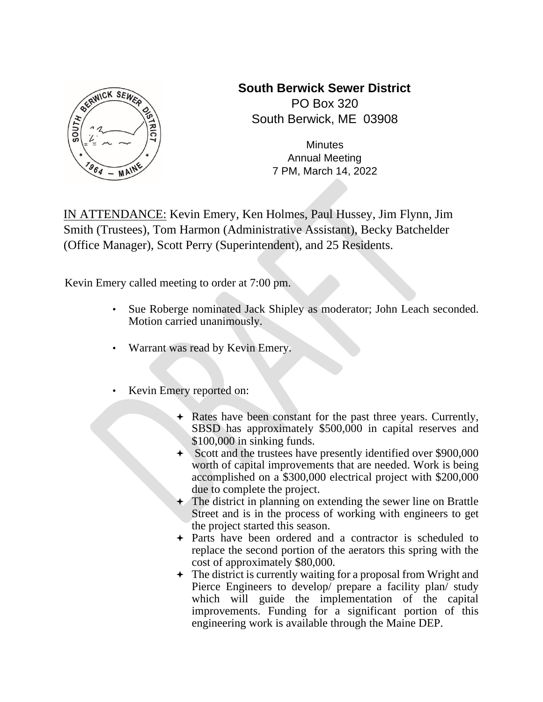

**South Berwick Sewer District**  PO Box 320 South Berwick, ME 03908

> **Minutes** Annual Meeting 7 PM, March 14, 2022

IN ATTENDANCE: Kevin Emery, Ken Holmes, Paul Hussey, Jim Flynn, Jim Smith (Trustees), Tom Harmon (Administrative Assistant), Becky Batchelder (Office Manager), Scott Perry (Superintendent), and 25 Residents.

Kevin Emery called meeting to order at 7:00 pm.

- Sue Roberge nominated Jack Shipley as moderator; John Leach seconded. Motion carried unanimously.
- Warrant was read by Kevin Emery.
- Kevin Emery reported on:
	- Rates have been constant for the past three years. Currently, SBSD has approximately \$500,000 in capital reserves and \$100,000 in sinking funds.
	- $\rightarrow$  Scott and the trustees have presently identified over \$900,000 worth of capital improvements that are needed. Work is being accomplished on a \$300,000 electrical project with \$200,000 due to complete the project.
	- $\rightarrow$  The district in planning on extending the sewer line on Brattle Street and is in the process of working with engineers to get the project started this season.
	- Parts have been ordered and a contractor is scheduled to replace the second portion of the aerators this spring with the cost of approximately \$80,000.
	- The district is currently waiting for a proposal from Wright and Pierce Engineers to develop/ prepare a facility plan/ study which will guide the implementation of the capital improvements. Funding for a significant portion of this engineering work is available through the Maine DEP.